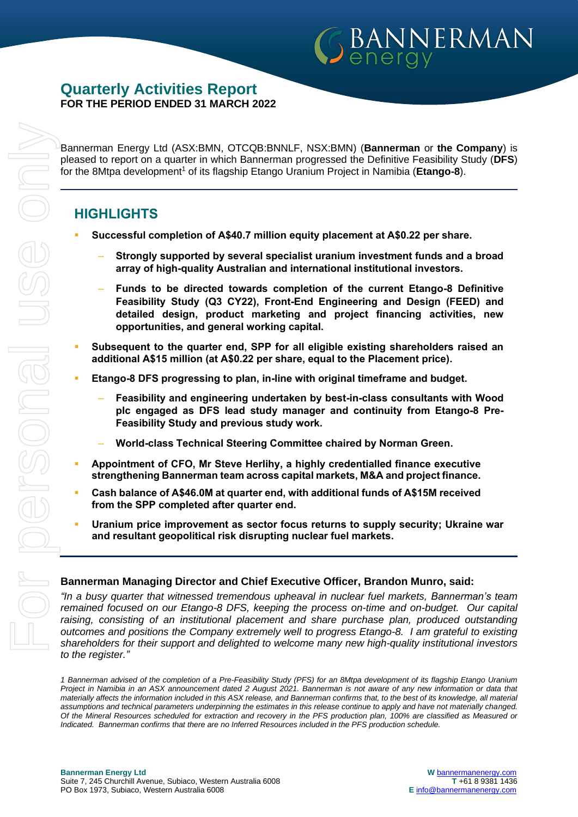## **Quarterly Activities Report FOR THE PERIOD ENDED 31 MARCH 2022**

Bannerman Energy Ltd (ASX:BMN, OTCQB:BNNLF, NSX:BMN) (**Bannerman** or **the Company**) is pleased to report on a quarter in which Bannerman progressed the Definitive Feasibility Study (**DFS**) for the 8Mtpa development<sup>1</sup> of its flagship Etango Uranium Project in Namibia (**Etango-8**).

BANNERMAN

## **HIGHLIGHTS**

- **Successful completion of A\$40.7 million equity placement at A\$0.22 per share.**
	- ‒ **Strongly supported by several specialist uranium investment funds and a broad array of high-quality Australian and international institutional investors.**
	- ‒ **Funds to be directed towards completion of the current Etango-8 Definitive Feasibility Study (Q3 CY22), Front-End Engineering and Design (FEED) and detailed design, product marketing and project financing activities, new opportunities, and general working capital.**
- **Subsequent to the quarter end, SPP for all eligible existing shareholders raised an additional A\$15 million (at A\$0.22 per share, equal to the Placement price).**
- **Etango-8 DFS progressing to plan, in-line with original timeframe and budget.**
	- ‒ **Feasibility and engineering undertaken by best-in-class consultants with Wood plc engaged as DFS lead study manager and continuity from Etango-8 Pre-Feasibility Study and previous study work.**
	- ‒ **World-class Technical Steering Committee chaired by Norman Green.**
- **Appointment of CFO, Mr Steve Herlihy, a highly credentialled finance executive strengthening Bannerman team across capital markets, M&A and project finance.**
- **Cash balance of A\$46.0M at quarter end, with additional funds of A\$15M received from the SPP completed after quarter end.**
- Uranium price improvement as sector focus returns to supply security; Ukraine war **and resultant geopolitical risk disrupting nuclear fuel markets.**

#### **Bannerman Managing Director and Chief Executive Officer, Brandon Munro, said:**

*"In a busy quarter that witnessed tremendous upheaval in nuclear fuel markets, Bannerman's team remained focused on our Etango-8 DFS, keeping the process on-time and on-budget. Our capital raising, consisting of an institutional placement and share purchase plan, produced outstanding outcomes and positions the Company extremely well to progress Etango-8. I am grateful to existing shareholders for their support and delighted to welcome many new high-quality institutional investors to the register."*

*1 Bannerman advised of the completion of a Pre-Feasibility Study (PFS) for an 8Mtpa development of its flagship Etango Uranium Project in Namibia in an ASX announcement dated 2 August 2021. Bannerman is not aware of any new information or data that materially affects the information included in this ASX release, and Bannerman confirms that, to the best of its knowledge, all material assumptions and technical parameters underpinning the estimates in this release continue to apply and have not materially changed. Of the Mineral Resources scheduled for extraction and recovery in the PFS production plan, 100% are classified as Measured or Indicated. Bannerman confirms that there are no Inferred Resources included in the PFS production schedule.*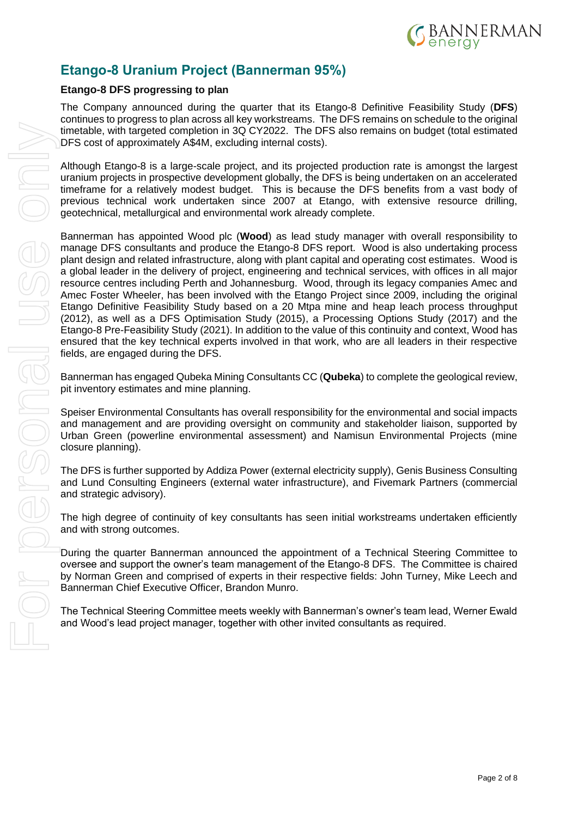

# **Etango-8 Uranium Project (Bannerman 95%)**

### **Etango-8 DFS progressing to plan**

The Company announced during the quarter that its Etango-8 Definitive Feasibility Study (**DFS**) continues to progress to plan across all key workstreams. The DFS remains on schedule to the original timetable, with targeted completion in 3Q CY2022. The DFS also remains on budget (total estimated DFS cost of approximately A\$4M, excluding internal costs).

Although Etango-8 is a large-scale project, and its projected production rate is amongst the largest uranium projects in prospective development globally, the DFS is being undertaken on an accelerated timeframe for a relatively modest budget. This is because the DFS benefits from a vast body of previous technical work undertaken since 2007 at Etango, with extensive resource drilling, geotechnical, metallurgical and environmental work already complete.

Bannerman has appointed Wood plc (**Wood**) as lead study manager with overall responsibility to manage DFS consultants and produce the Etango-8 DFS report. Wood is also undertaking process plant design and related infrastructure, along with plant capital and operating cost estimates. Wood is a global leader in the delivery of project, engineering and technical services, with offices in all major resource centres including Perth and Johannesburg. Wood, through its legacy companies Amec and Amec Foster Wheeler, has been involved with the Etango Project since 2009, including the original Etango Definitive Feasibility Study based on a 20 Mtpa mine and heap leach process throughput (2012), as well as a DFS Optimisation Study (2015), a Processing Options Study (2017) and the Etango-8 Pre-Feasibility Study (2021). In addition to the value of this continuity and context, Wood has ensured that the key technical experts involved in that work, who are all leaders in their respective fields, are engaged during the DFS.

Bannerman has engaged Qubeka Mining Consultants CC (**Qubeka**) to complete the geological review, pit inventory estimates and mine planning.

Speiser Environmental Consultants has overall responsibility for the environmental and social impacts and management and are providing oversight on community and stakeholder liaison, supported by Urban Green (powerline environmental assessment) and Namisun Environmental Projects (mine closure planning).

The DFS is further supported by Addiza Power (external electricity supply), Genis Business Consulting and Lund Consulting Engineers (external water infrastructure), and Fivemark Partners (commercial and strategic advisory).

The high degree of continuity of key consultants has seen initial workstreams undertaken efficiently and with strong outcomes.

During the quarter Bannerman announced the appointment of a Technical Steering Committee to oversee and support the owner's team management of the Etango-8 DFS. The Committee is chaired by Norman Green and comprised of experts in their respective fields: John Turney, Mike Leech and Bannerman Chief Executive Officer, Brandon Munro.

The Technical Steering Committee meets weekly with Bannerman's owner's team lead, Werner Ewald and Wood's lead project manager, together with other invited consultants as required.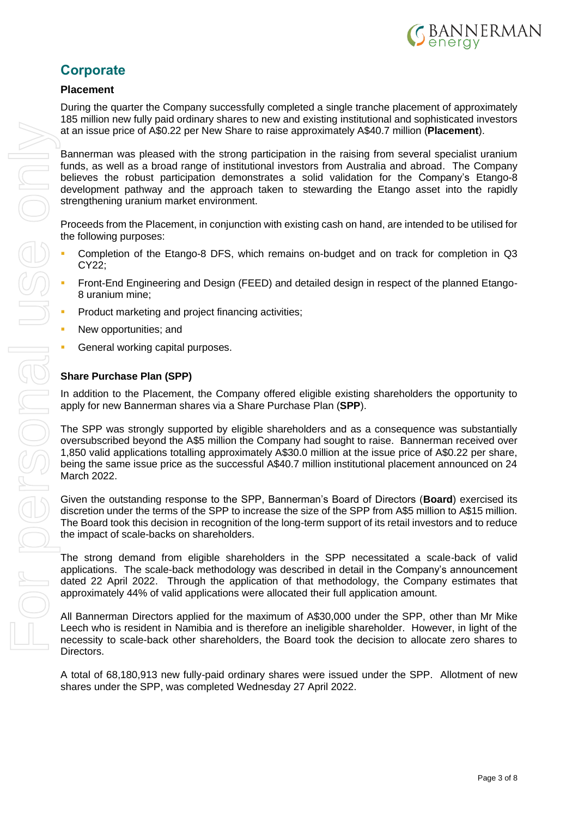

# **Corporate**

## **Placement**

During the quarter the Company successfully completed a single tranche placement of approximately 185 million new fully paid ordinary shares to new and existing institutional and sophisticated investors at an issue price of A\$0.22 per New Share to raise approximately A\$40.7 million (**Placement**).

Bannerman was pleased with the strong participation in the raising from several specialist uranium funds, as well as a broad range of institutional investors from Australia and abroad. The Company believes the robust participation demonstrates a solid validation for the Company's Etango-8 development pathway and the approach taken to stewarding the Etango asset into the rapidly strengthening uranium market environment.

Proceeds from the Placement, in conjunction with existing cash on hand, are intended to be utilised for the following purposes:

- Completion of the Etango-8 DFS, which remains on-budget and on track for completion in Q3 CY22;
- Front-End Engineering and Design (FEED) and detailed design in respect of the planned Etango-8 uranium mine;
- Product marketing and project financing activities;
- New opportunities; and
- General working capital purposes.

## **Share Purchase Plan (SPP)**

In addition to the Placement, the Company offered eligible existing shareholders the opportunity to apply for new Bannerman shares via a Share Purchase Plan (**SPP**).

The SPP was strongly supported by eligible shareholders and as a consequence was substantially oversubscribed beyond the A\$5 million the Company had sought to raise. Bannerman received over 1,850 valid applications totalling approximately A\$30.0 million at the issue price of A\$0.22 per share, being the same issue price as the successful A\$40.7 million institutional placement announced on 24 March 2022.

Given the outstanding response to the SPP, Bannerman's Board of Directors (**Board**) exercised its discretion under the terms of the SPP to increase the size of the SPP from A\$5 million to A\$15 million. The Board took this decision in recognition of the long-term support of its retail investors and to reduce the impact of scale-backs on shareholders.

The strong demand from eligible shareholders in the SPP necessitated a scale-back of valid applications. The scale-back methodology was described in detail in the Company's announcement dated 22 April 2022. Through the application of that methodology, the Company estimates that approximately 44% of valid applications were allocated their full application amount.

All Bannerman Directors applied for the maximum of A\$30,000 under the SPP, other than Mr Mike Leech who is resident in Namibia and is therefore an ineligible shareholder. However, in light of the necessity to scale-back other shareholders, the Board took the decision to allocate zero shares to Directors.

A total of 68,180,913 new fully-paid ordinary shares were issued under the SPP. Allotment of new shares under the SPP, was completed Wednesday 27 April 2022.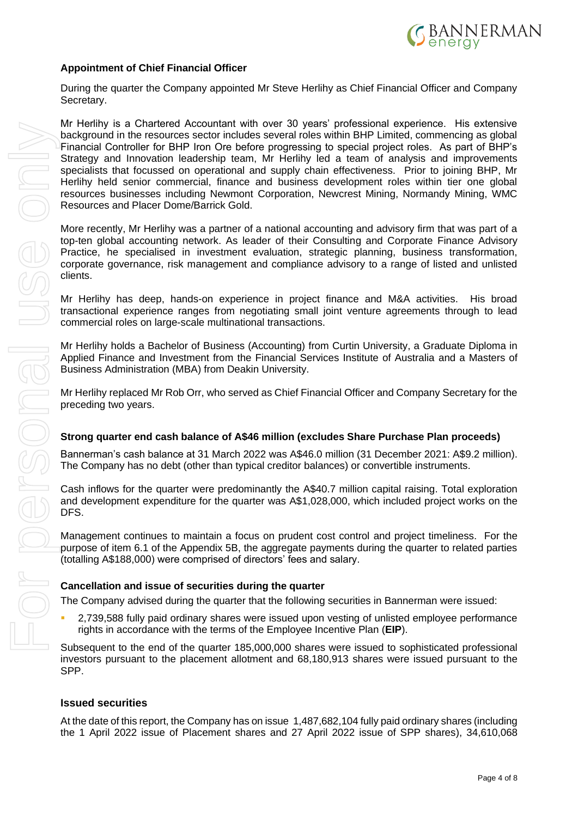

### **Appointment of Chief Financial Officer**

During the quarter the Company appointed Mr Steve Herlihy as Chief Financial Officer and Company Secretary.

Mr Herlihy is a Chartered Accountant with over 30 years' professional experience. His extensive background in the resources sector includes several roles within BHP Limited, commencing as global Financial Controller for BHP Iron Ore before progressing to special project roles. As part of BHP's Strategy and Innovation leadership team, Mr Herlihy led a team of analysis and improvements specialists that focussed on operational and supply chain effectiveness. Prior to joining BHP, Mr Herlihy held senior commercial, finance and business development roles within tier one global resources businesses including Newmont Corporation, Newcrest Mining, Normandy Mining, WMC Resources and Placer Dome/Barrick Gold. the Herita interaction (MS) to the determinant shares and 28.42 and 28.42 and 28.42 and 28.42 and 28.42 and 28.42 and 28.42 and 27 April 2022 issues and 10 April 2022 issues and 10 April 2022 issues and 10 April 2022 issue

More recently, Mr Herlihy was a partner of a national accounting and advisory firm that was part of a top-ten global accounting network. As leader of their Consulting and Corporate Finance Advisory Practice, he specialised in investment evaluation, strategic planning, business transformation, corporate governance, risk management and compliance advisory to a range of listed and unlisted clients.

Mr Herlihy has deep, hands-on experience in project finance and M&A activities. His broad transactional experience ranges from negotiating small joint venture agreements through to lead commercial roles on large-scale multinational transactions.

Mr Herlihy holds a Bachelor of Business (Accounting) from Curtin University, a Graduate Diploma in Applied Finance and Investment from the Financial Services Institute of Australia and a Masters of Business Administration (MBA) from Deakin University.

Mr Herlihy replaced Mr Rob Orr, who served as Chief Financial Officer and Company Secretary for the preceding two years.

#### **Strong quarter end cash balance of A\$46 million (excludes Share Purchase Plan proceeds)**

Bannerman's cash balance at 31 March 2022 was A\$46.0 million (31 December 2021: A\$9.2 million). The Company has no debt (other than typical creditor balances) or convertible instruments.

Cash inflows for the quarter were predominantly the A\$40.7 million capital raising. Total exploration and development expenditure for the quarter was A\$1,028,000, which included project works on the DFS.

Management continues to maintain a focus on prudent cost control and project timeliness. For the purpose of item 6.1 of the Appendix 5B, the aggregate payments during the quarter to related parties (totalling A\$188,000) were comprised of directors' fees and salary.

#### **Cancellation and issue of securities during the quarter**

The Company advised during the quarter that the following securities in Bannerman were issued:

2,739,588 fully paid ordinary shares were issued upon vesting of unlisted employee performance rights in accordance with the terms of the Employee Incentive Plan (**EIP**).

Subsequent to the end of the quarter 185,000,000 shares were issued to sophisticated professional investors pursuant to the placement allotment and 68,180,913 shares were issued pursuant to the SPP.

#### **Issued securities**

At the date of this report, the Company has on issue 1,487,682,104 fully paid ordinary shares (including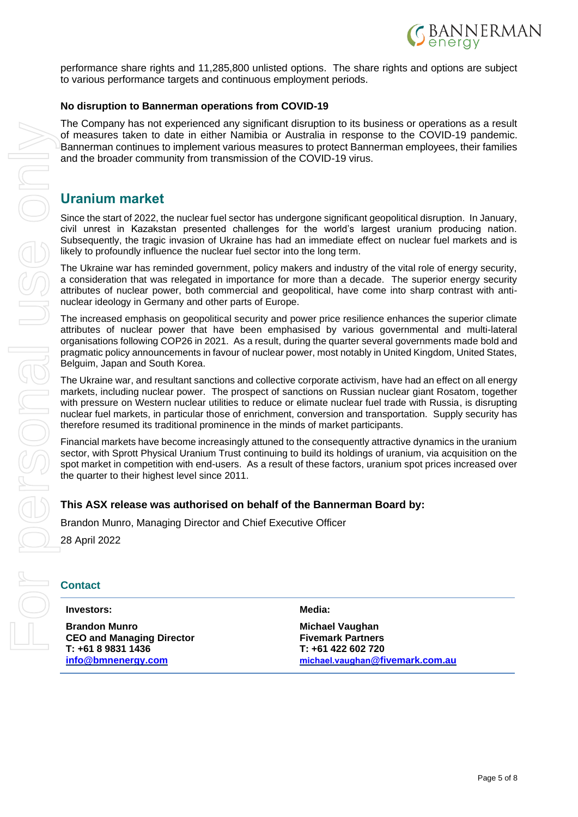

performance share rights and 11,285,800 unlisted options. The share rights and options are subject to various performance targets and continuous employment periods.

#### **No disruption to Bannerman operations from COVID-19**

The Company has not experienced any significant disruption to its business or operations as a result of measures taken to date in either Namibia or Australia in response to the COVID-19 pandemic. Bannerman continues to implement various measures to protect Bannerman employees, their families and the broader community from transmission of the COVID-19 virus.

## **Uranium market**

Since the start of 2022, the nuclear fuel sector has undergone significant geopolitical disruption. In January, civil unrest in Kazakstan presented challenges for the world's largest uranium producing nation. Subsequently, the tragic invasion of Ukraine has had an immediate effect on nuclear fuel markets and is likely to profoundly influence the nuclear fuel sector into the long term.

The Ukraine war has reminded government, policy makers and industry of the vital role of energy security, a consideration that was relegated in importance for more than a decade. The superior energy security attributes of nuclear power, both commercial and geopolitical, have come into sharp contrast with antinuclear ideology in Germany and other parts of Europe.

The increased emphasis on geopolitical security and power price resilience enhances the superior climate attributes of nuclear power that have been emphasised by various governmental and multi-lateral organisations following COP26 in 2021. As a result, during the quarter several governments made bold and pragmatic policy announcements in favour of nuclear power, most notably in United Kingdom, United States, Belguim, Japan and South Korea.

The Ukraine war, and resultant sanctions and collective corporate activism, have had an effect on all energy markets, including nuclear power. The prospect of sanctions on Russian nuclear giant Rosatom, together with pressure on Western nuclear utilities to reduce or elimate nuclear fuel trade with Russia, is disrupting nuclear fuel markets, in particular those of enrichment, conversion and transportation. Supply security has therefore resumed its traditional prominence in the minds of market participants.

Financial markets have become increasingly attuned to the consequently attractive dynamics in the uranium sector, with Sprott Physical Uranium Trust continuing to build its holdings of uranium, via acquisition on the spot market in competition with end-users. As a result of these factors, uranium spot prices increased over the quarter to their highest level since 2011.

## **This ASX release was authorised on behalf of the Bannerman Board by:**

Brandon Munro, Managing Director and Chief Executive Officer

28 April 2022

## **Contact**

#### **Investors:**

**Brandon Munro CEO and Managing Director T: +61 8 9831 1436 [info@bmnenergy.com](mailto:info@bmnenergy.com)**

**Media:**

**Michael Vaughan Fivemark Partners T: +61 422 602 720 [michael.vaughan](mailto:michael.vaughan@fivemark.com.au)[@fivemark.com.au](mailto:michael.vaughan@fivemark.com.au)**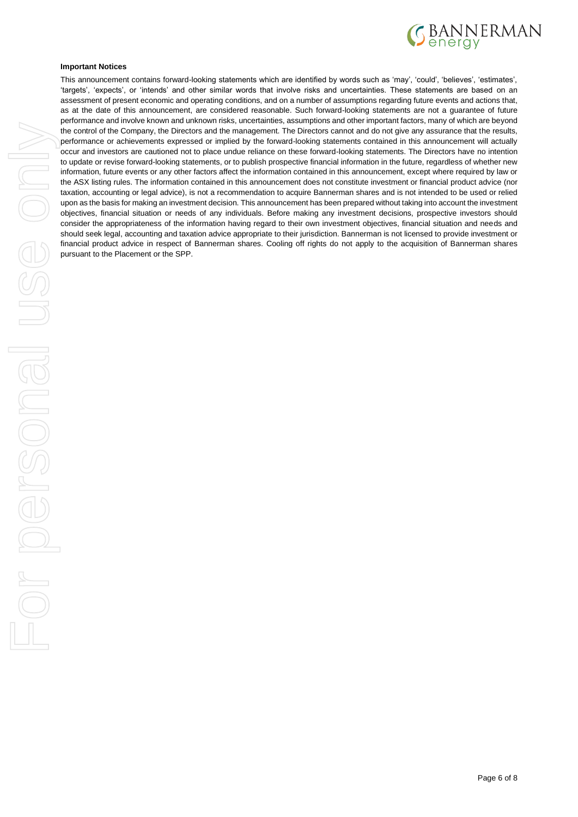

#### **Important Notices**

This announcement contains forward-looking statements which are identified by words such as 'may', 'could', 'believes', 'estimates', 'targets', 'expects', or 'intends' and other similar words that involve risks and uncertainties. These statements are based on an assessment of present economic and operating conditions, and on a number of assumptions regarding future events and actions that, as at the date of this announcement, are considered reasonable. Such forward-looking statements are not a guarantee of future performance and involve known and unknown risks, uncertainties, assumptions and other important factors, many of which are beyond the control of the Company, the Directors and the management. The Directors cannot and do not give any assurance that the results, performance or achievements expressed or implied by the forward-looking statements contained in this announcement will actually occur and investors are cautioned not to place undue reliance on these forward-looking statements. The Directors have no intention to update or revise forward-looking statements, or to publish prospective financial information in the future, regardless of whether new information, future events or any other factors affect the information contained in this announcement, except where required by law or the ASX listing rules. The information contained in this announcement does not constitute investment or financial product advice (nor taxation, accounting or legal advice), is not a recommendation to acquire Bannerman shares and is not intended to be used or relied upon as the basis for making an investment decision. This announcement has been prepared without taking into account the investment objectives, financial situation or needs of any individuals. Before making any investment decisions, prospective investors should consider the appropriateness of the information having regard to their own investment objectives, financial situation and needs and should seek legal, accounting and taxation advice appropriate to their jurisdiction. Bannerman is not licensed to provide investment or financial product advice in respect of Bannerman shares. Cooling off rights do not apply to the acquisition of Bannerman shares pursuant to the Placement or the SPP.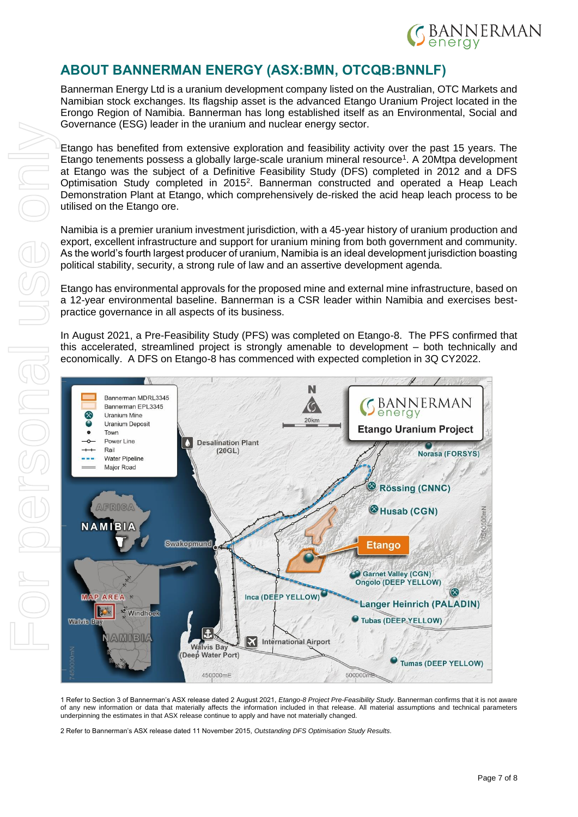

# **ABOUT BANNERMAN ENERGY (ASX:BMN, OTCQB:BNNLF)**

Bannerman Energy Ltd is a uranium development company listed on the Australian, OTC Markets and Namibian stock exchanges. Its flagship asset is the advanced Etango Uranium Project located in the Erongo Region of Namibia. Bannerman has long established itself as an Environmental, Social and Governance (ESG) leader in the uranium and nuclear energy sector.

Etango has benefited from extensive exploration and feasibility activity over the past 15 years. The Etango tenements possess a globally large-scale uranium mineral resource<sup>1</sup>. A 20Mtpa development at Etango was the subject of a Definitive Feasibility Study (DFS) completed in 2012 and a DFS Optimisation Study completed in 2015<sup>2</sup>. Bannerman constructed and operated a Heap Leach Demonstration Plant at Etango, which comprehensively de-risked the acid heap leach process to be utilised on the Etango ore.

Namibia is a premier uranium investment jurisdiction, with a 45-year history of uranium production and export, excellent infrastructure and support for uranium mining from both government and community. As the world's fourth largest producer of uranium, Namibia is an ideal development jurisdiction boasting political stability, security, a strong rule of law and an assertive development agenda.

Etango has environmental approvals for the proposed mine and external mine infrastructure, based on a 12-year environmental baseline. Bannerman is a CSR leader within Namibia and exercises bestpractice governance in all aspects of its business.

In August 2021, a Pre-Feasibility Study (PFS) was completed on Etango-8. The PFS confirmed that this accelerated, streamlined project is strongly amenable to development – both technically and economically. A DFS on Etango-8 has commenced with expected completion in 3Q CY2022.



1 Refer to Section 3 of Bannerman's ASX release dated 2 August 2021, *Etango-8 Project Pre-Feasibility Study*. Bannerman confirms that it is not aware of any new information or data that materially affects the information included in that release. All material assumptions and technical parameters underpinning the estimates in that ASX release continue to apply and have not materially changed.